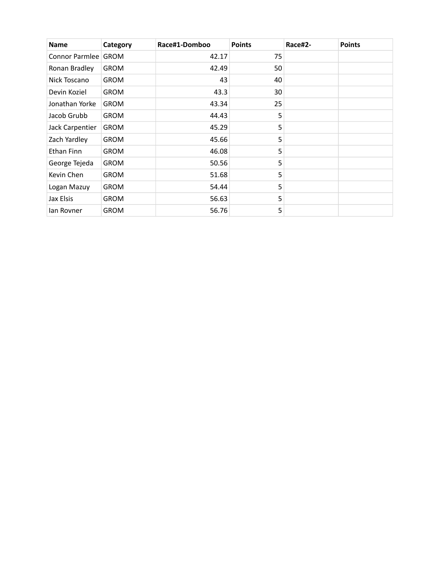| <b>Name</b>           | Category    | Race#1-Domboo | <b>Points</b> | Race#2- | <b>Points</b> |
|-----------------------|-------------|---------------|---------------|---------|---------------|
| Connor Parmlee   GROM |             | 42.17         | 75            |         |               |
| Ronan Bradley         | <b>GROM</b> | 42.49         | 50            |         |               |
| Nick Toscano          | <b>GROM</b> | 43            | 40            |         |               |
| Devin Koziel          | <b>GROM</b> | 43.3          | 30            |         |               |
| Jonathan Yorke        | <b>GROM</b> | 43.34         | 25            |         |               |
| Jacob Grubb           | <b>GROM</b> | 44.43         | 5             |         |               |
| Jack Carpentier       | <b>GROM</b> | 45.29         | 5             |         |               |
| Zach Yardley          | <b>GROM</b> | 45.66         | 5             |         |               |
| Ethan Finn            | <b>GROM</b> | 46.08         | 5             |         |               |
| George Tejeda         | <b>GROM</b> | 50.56         | 5             |         |               |
| Kevin Chen            | <b>GROM</b> | 51.68         | 5             |         |               |
| Logan Mazuy           | <b>GROM</b> | 54.44         | 5             |         |               |
| Jax Elsis             | <b>GROM</b> | 56.63         | 5             |         |               |
| lan Rovner            | <b>GROM</b> | 56.76         | 5             |         |               |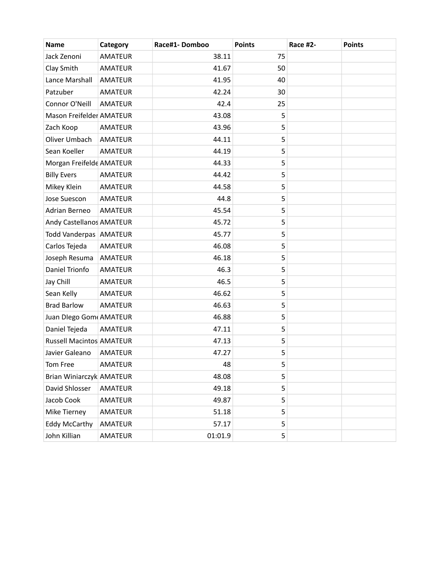| <b>Name</b>                     | Category       | Race#1-Domboo | <b>Points</b> | Race #2- | <b>Points</b> |
|---------------------------------|----------------|---------------|---------------|----------|---------------|
| Jack Zenoni                     | <b>AMATEUR</b> | 38.11         | 75            |          |               |
| Clay Smith                      | <b>AMATEUR</b> | 41.67         | 50            |          |               |
| Lance Marshall                  | <b>AMATEUR</b> | 41.95         | 40            |          |               |
| Patzuber                        | <b>AMATEUR</b> | 42.24         | 30            |          |               |
| Connor O'Neill                  | <b>AMATEUR</b> | 42.4          | 25            |          |               |
| Mason Freifelder AMATEUR        |                | 43.08         | 5             |          |               |
| Zach Koop                       | <b>AMATEUR</b> | 43.96         | 5             |          |               |
| Oliver Umbach                   | <b>AMATEUR</b> | 44.11         | 5             |          |               |
| Sean Koeller                    | <b>AMATEUR</b> | 44.19         | 5             |          |               |
| Morgan Freifelde AMATEUR        |                | 44.33         | 5             |          |               |
| <b>Billy Evers</b>              | <b>AMATEUR</b> | 44.42         | 5             |          |               |
| Mikey Klein                     | <b>AMATEUR</b> | 44.58         | 5             |          |               |
| Jose Suescon                    | <b>AMATEUR</b> | 44.8          | 5             |          |               |
| Adrian Berneo                   | <b>AMATEUR</b> | 45.54         | 5             |          |               |
| Andy Castellanos AMATEUR        |                | 45.72         | 5             |          |               |
| Todd Vanderpas AMATEUR          |                | 45.77         | 5             |          |               |
| Carlos Tejeda                   | <b>AMATEUR</b> | 46.08         | 5             |          |               |
| Joseph Resuma                   | <b>AMATEUR</b> | 46.18         | 5             |          |               |
| Daniel Trionfo                  | <b>AMATEUR</b> | 46.3          | 5             |          |               |
| Jay Chill                       | AMATEUR        | 46.5          | 5             |          |               |
| Sean Kelly                      | <b>AMATEUR</b> | 46.62         | 5             |          |               |
| <b>Brad Barlow</b>              | <b>AMATEUR</b> | 46.63         | 5             |          |               |
| Juan Diego Gom AMATEUR          |                | 46.88         | 5             |          |               |
| Daniel Tejeda                   | <b>AMATEUR</b> | 47.11         | 5             |          |               |
| <b>Russell Macintos AMATEUR</b> |                | 47.13         | 5             |          |               |
| Javier Galeano                  | <b>AMATEUR</b> | 47.27         | 5             |          |               |
| Tom Free                        | AMATEUR        | 48            | 5             |          |               |
| Brian Winiarczyk AMATEUR        |                | 48.08         | 5             |          |               |
| David Shlosser                  | <b>AMATEUR</b> | 49.18         | 5             |          |               |
| Jacob Cook                      | AMATEUR        | 49.87         | 5             |          |               |
| Mike Tierney                    | AMATEUR        | 51.18         | 5             |          |               |
| <b>Eddy McCarthy</b>            | AMATEUR        | 57.17         | 5             |          |               |
| John Killian                    | AMATEUR        | 01:01.9       | 5             |          |               |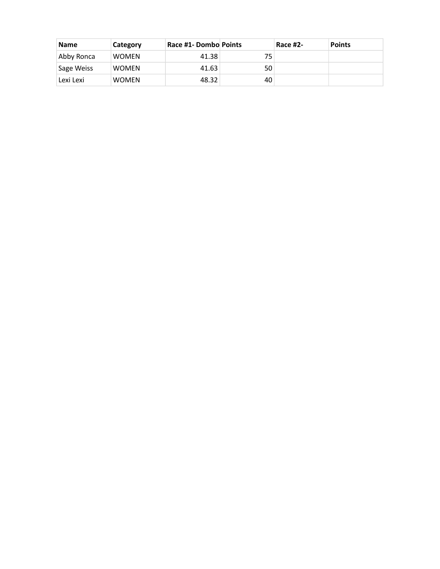| <b>Name</b> | Category     | Race #1- Dombo Points |    | <b>Race #2-</b> | <b>Points</b> |
|-------------|--------------|-----------------------|----|-----------------|---------------|
| Abby Ronca  | <b>WOMEN</b> | 41.38                 | 75 |                 |               |
| Sage Weiss  | <b>WOMEN</b> | 41.63                 | 50 |                 |               |
| Lexi Lexi   | <b>WOMEN</b> | 48.32                 | 40 |                 |               |